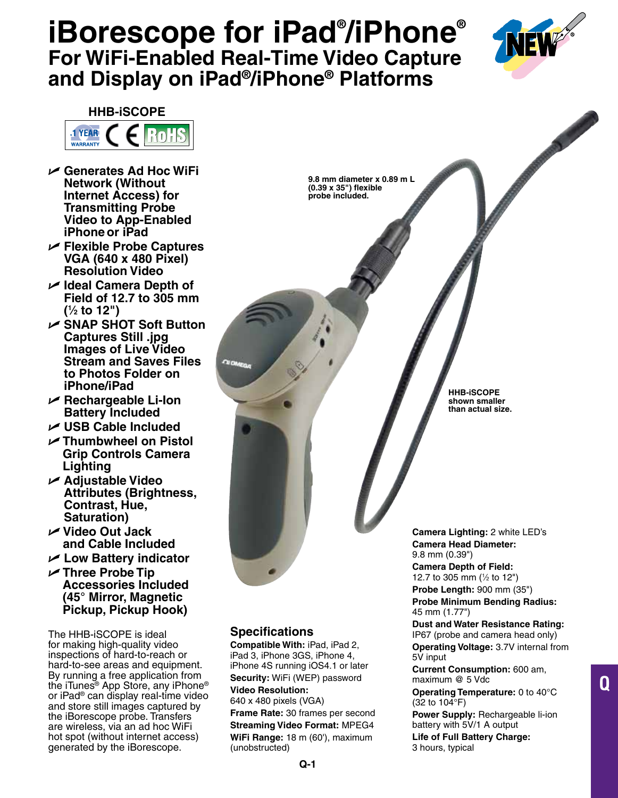# **iBorescope for iPad® /iPhone® For WiFi-Enabled Real-Time Video Capture and Display on iPad®/iPhone® Platforms**

**9.8 mm diameter x 0.89 m L (0.39 x 35") flexible probe included.**



## **HHB-iSCOPE**



- U **Generates Ad Hoc WiFi Network (Without Internet Access) for Transmitting Probe Video to App-Enabled iPhone or iPad**
- U **Flexible Probe Captures VGA (640 x 480 Pixel) Resolution Video**
- U **Ideal Camera Depth of Field of 12.7 to 305 mm (1 ⁄2 to 12")**
- U **SNAP SHOT Soft Button Captures Still .jpg Images of Live Video Stream and Saves Files to Photos Folder on iPhone/iPad**
- U **Rechargeable Li-Ion Battery Included**
- U **USB Cable Included**
- U **Thumbwheel on Pistol Grip Controls Camera Lighting**
- U **Adjustable Video Attributes (Brightness, Contrast, Hue, Saturation)**
- U **Video Out Jack and Cable Included**
- U **Low Battery indicator**
- U **Three Probe Tip Accessories Included (45° Mirror, Magnetic Pickup, Pickup Hook)**

The HHB-iSCOPE is ideal for making high-quality video inspections of hard-to-reach or hard-to-see areas and equipment. By running a free application from the iTunes® App Store, any iPhone® or iPad® can display real-time video and store still images captured by the iBorescope probe. Transfers are wireless, via an ad hoc WiFi hot spot (without internet access) generated by the iBorescope.

# **Specifications**

**Compatible With:** iPad, iPad 2, iPad 3, iPhone 3GS, iPhone 4, iPhone 4S running iOS4.1 or later **Security:** WiFi (WEP) password **Video Resolution:** 640 x 480 pixels (VGA)

**Frame Rate:** 30 frames per second **Streaming Video Format:** MPEG4 **WiFi Range:** 18 m (60'), maximum (unobstructed)

**HHB-iSCOPE shown smaller than actual size.**

**Camera Lighting:** 2 white LED's **Camera Head Diameter:** 9.8 mm (0.39")

**Camera Depth of Field:** 12.7 to 305 mm (1 ⁄2 to 12") **Probe Length:** 900 mm (35")

**Probe Minimum Bending Radius:** 45 mm (1.77")

### **Dust and Water Resistance Rating:**

IP67 (probe and camera head only) **Operating Voltage:** 3.7V internal from 5V input

**Q**

**Current Consumption:** 600 am, maximum @ 5 Vdc

**Operating Temperature:** 0 to 40°C (32 to 104°F)

**Power Supply:** Rechargeable li-ion battery with 5V/1 A output

**Life of Full Battery Charge:** 3 hours, typical